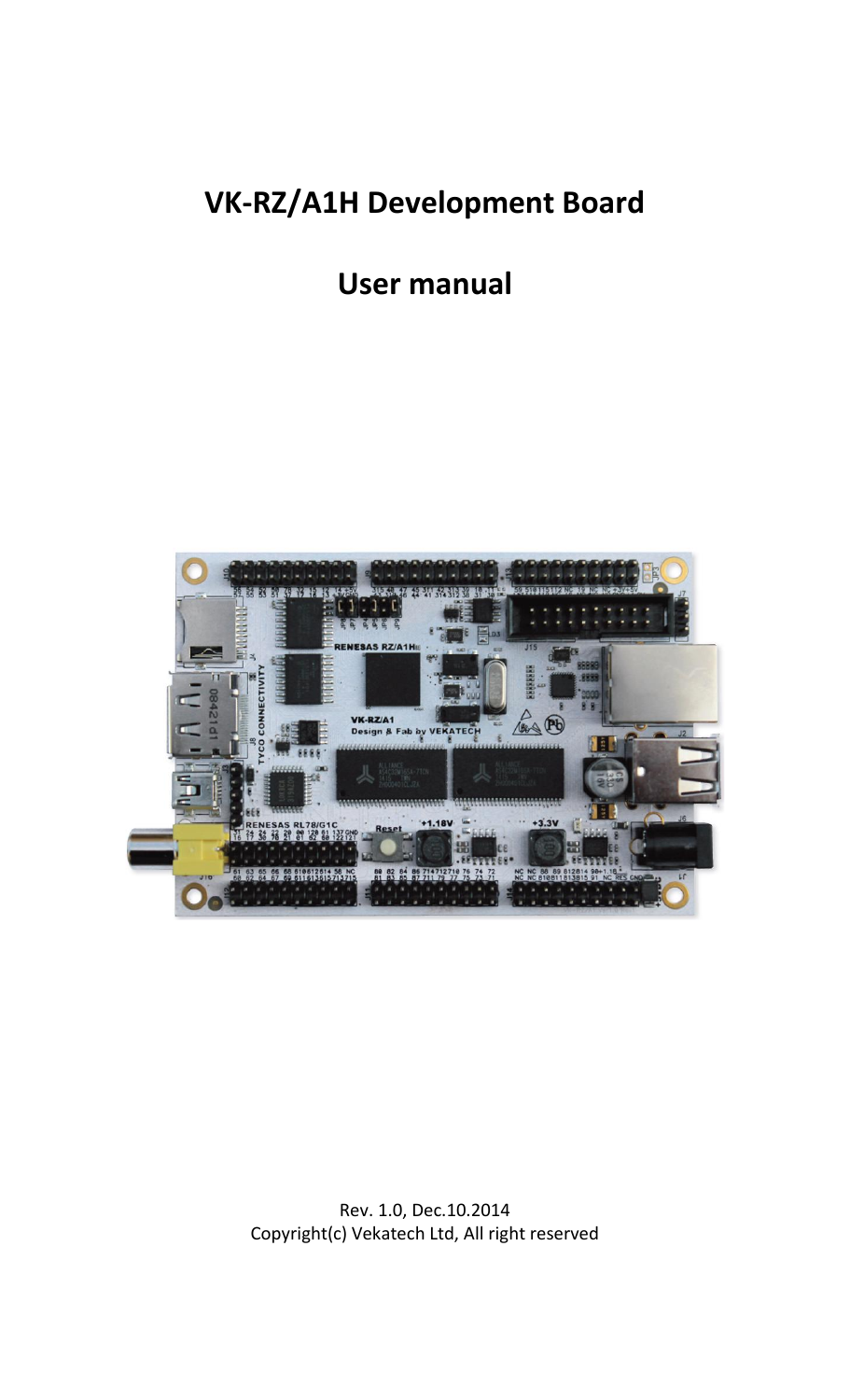# **VK-RZ/A1H Development Board**

# **User manual**



Rev. 1.0, Dec.10.2014 Copyright(c) Vekatech Ltd, All right reserved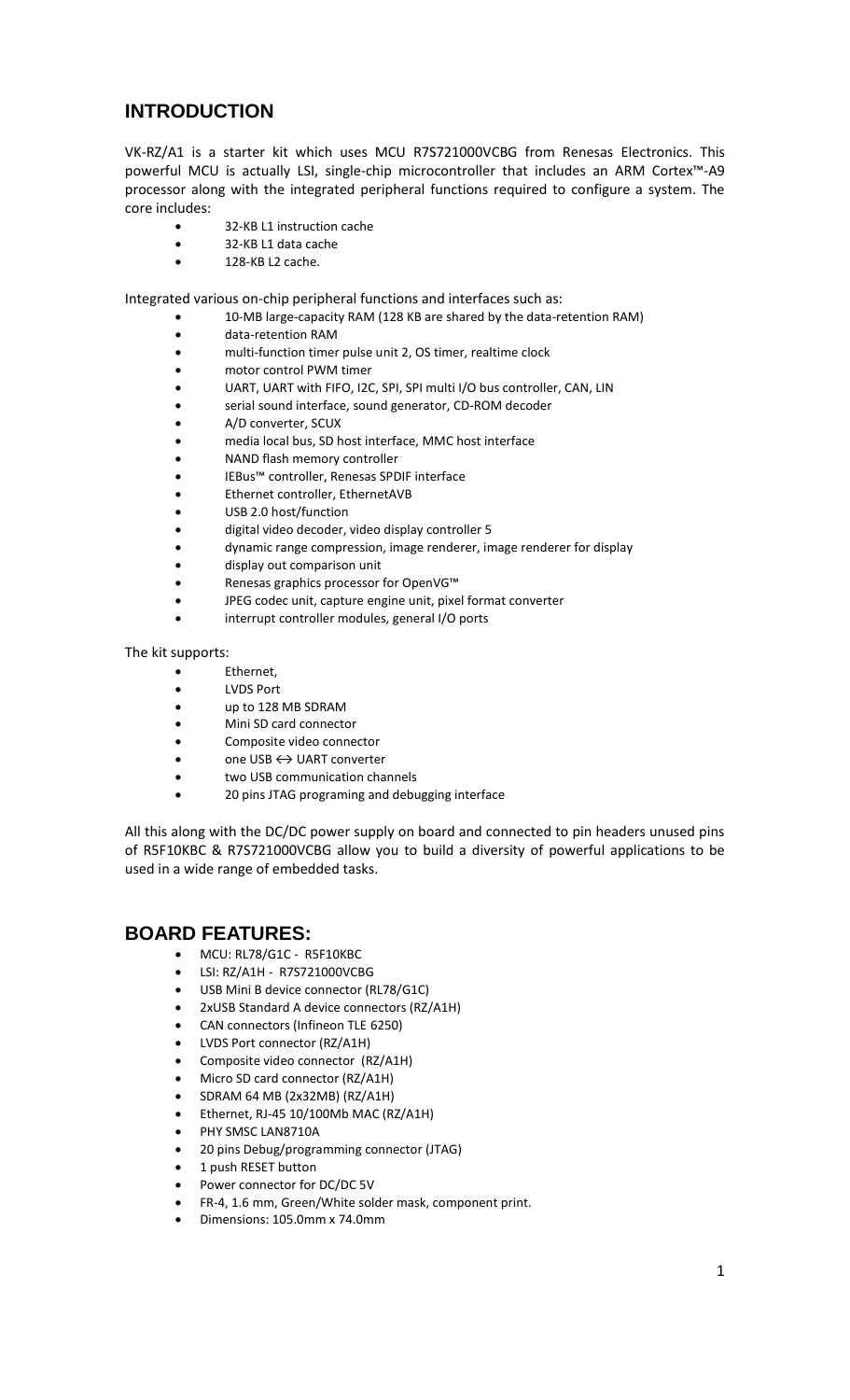# **INTRODUCTION**

VK-RZ/A1 is a starter kit which uses MCU R7S721000VCBG from Renesas Electronics. This powerful MCU is actually LSI, single-chip microcontroller that includes an ARM Cortex™-A9 processor along with the integrated peripheral functions required to configure a system. The core includes:

- 32-KB L1 instruction cache
- 32-KB L1 data cache
- 128-KB L2 cache.

Integrated various on-chip peripheral functions and interfaces such as:

- 10-MB large-capacity RAM (128 KB are shared by the data-retention RAM)
- data-retention RAM
- multi-function timer pulse unit 2, OS timer, realtime clock
- motor control PWM timer
- UART, UART with FIFO, I2C, SPI, SPI multi I/O bus controller, CAN, LIN
- serial sound interface, sound generator, CD-ROM decoder
- A/D converter, SCUX
- media local bus, SD host interface, MMC host interface
- NAND flash memory controller
- IEBus™ controller, Renesas SPDIF interface
- Ethernet controller, EthernetAVB
- USB 2.0 host/function
- digital video decoder, video display controller 5
- dynamic range compression, image renderer, image renderer for display
- display out comparison unit
- Renesas graphics processor for OpenVG™
- JPEG codec unit, capture engine unit, pixel format converter
- interrupt controller modules, general I/O ports

The kit supports:

- Ethernet,
- LVDS Port
- up to 128 MB SDRAM
- Mini SD card connector
- Composite video connector
- one USB ↔ UART converter
- two USB communication channels
- 20 pins JTAG programing and debugging interface

All this along with the DC/DC power supply on board and connected to pin headers unused pins of R5F10KBC & R7S721000VCBG allow you to build a diversity of powerful applications to be used in a wide range of embedded tasks.

#### **BOARD FEATURES:**

- MCU: RL78/G1C R5F10KBC
- LSI: RZ/A1H R7S721000VCBG
- USB Mini B device connector (RL78/G1C)
- 2xUSB Standard A device connectors (RZ/A1H)
- CAN connectors (Infineon TLE 6250)
- LVDS Port connector (RZ/A1H)
- Composite video connector (RZ/A1H)
- Micro SD card connector (RZ/A1H)
- SDRAM 64 MB (2x32MB) (RZ/A1H)
- Ethernet, RJ-45 10/100Mb MAC (RZ/A1H)
- PHY SMSC LAN8710A
- 20 pins Debug/programming connector (JTAG)
- 1 push RESET button
- Power connector for DC/DC 5V
- FR-4, 1.6 mm, Green/White solder mask, component print.
- Dimensions: 105.0mm x 74.0mm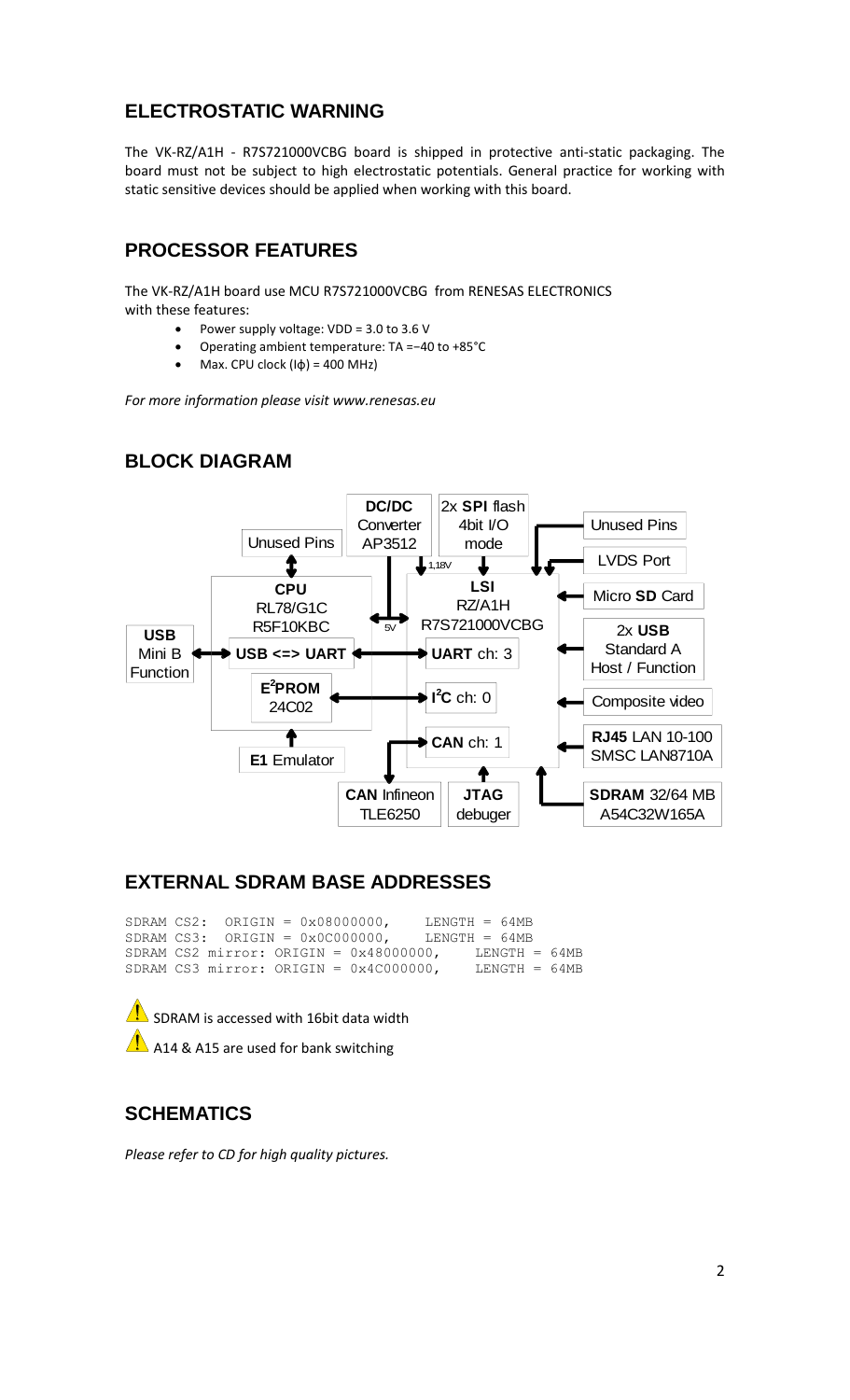## **ELECTROSTATIC WARNING**

The VK-RZ/A1H - R7S721000VCBG board is shipped in protective anti-static packaging. The board must not be subject to high electrostatic potentials. General practice for working with static sensitive devices should be applied when working with this board.

## **PROCESSOR FEATURES**

The VK-RZ/A1H board use MCU R7S721000VCBG from RENESAS ELECTRONICS with these features:

- Power supply voltage: VDD = 3.0 to 3.6 V
- Operating ambient temperature: TA =−40 to +85°C
- Max. CPU clock  $(I\phi) = 400$  MHz)

*For more information please visit www.renesas.eu*

## **BLOCK DIAGRAM**



#### **EXTERNAL SDRAM BASE ADDRESSES**

SDRAM CS2: ORIGIN =  $0 \times 080000000$ , LENGTH = 64MB SDRAM CS3: ORIGIN =  $0 \times 00000000$ , LENGTH = 64MB SDRAM CS2 mirror: ORIGIN =  $0 \times 48000000$ , LENGTH = 64MB SDRAM CS3 mirror: ORIGIN =  $0 \times 4C000000$ , LENGTH = 64MB



A14 & A15 are used for bank switching

## **SCHEMATICS**

*Please refer to CD for high quality pictures.*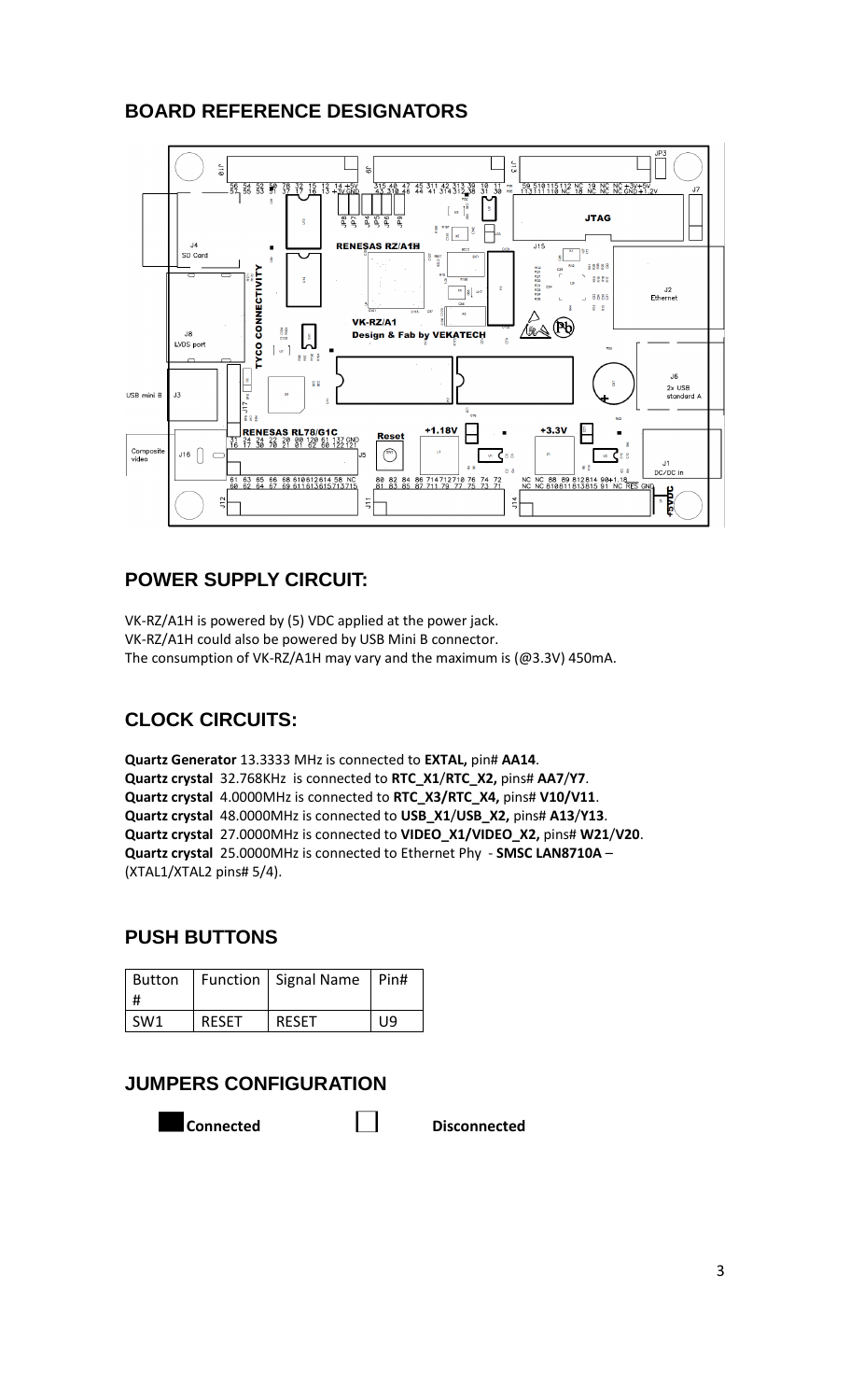# **BOARD REFERENCE DESIGNATORS**



# **POWER SUPPLY CIRCUIT:**

VK-RZ/A1H is powered by (5) VDC applied at the power jack. VK-RZ/A1H could also be powered by USB Mini B connector. The consumption of VK-RZ/A1H may vary and the maximum is (@3.3V) 450mA.

# **CLOCK CIRCUITS:**

**Quartz Generator** 13.3333 MHz is connected to **EXTAL,** pin# **AA14**. **Quartz crystal** 32.768KHz is connected to **RTC\_X1**/**RTC\_X2,** pins# **AA7**/**Y7**. **Quartz crystal** 4.0000MHz is connected to **RTC\_X3/RTC\_X4,** pins# **V10/V11**. **Quartz crystal** 48.0000MHz is connected to **USB\_X1**/**USB\_X2,** pins# **A13**/**Y13**. **Quartz crystal** 27.0000MHz is connected to **VIDEO\_X1/VIDEO\_X2,** pins# **W21**/**V20**. **Quartz crystal** 25.0000MHz is connected to Ethernet Phy - **SMSC LAN8710A** – (XTAL1/XTAL2 pins# 5/4).

## **PUSH BUTTONS**

| Button          |              | Function   Signal Name   Pin# |     |
|-----------------|--------------|-------------------------------|-----|
| SW <sub>1</sub> | <b>RESET</b> | <b>RFSFT</b>                  | IJЯ |

## **JUMPERS CONFIGURATION**

**Connected Disconnected**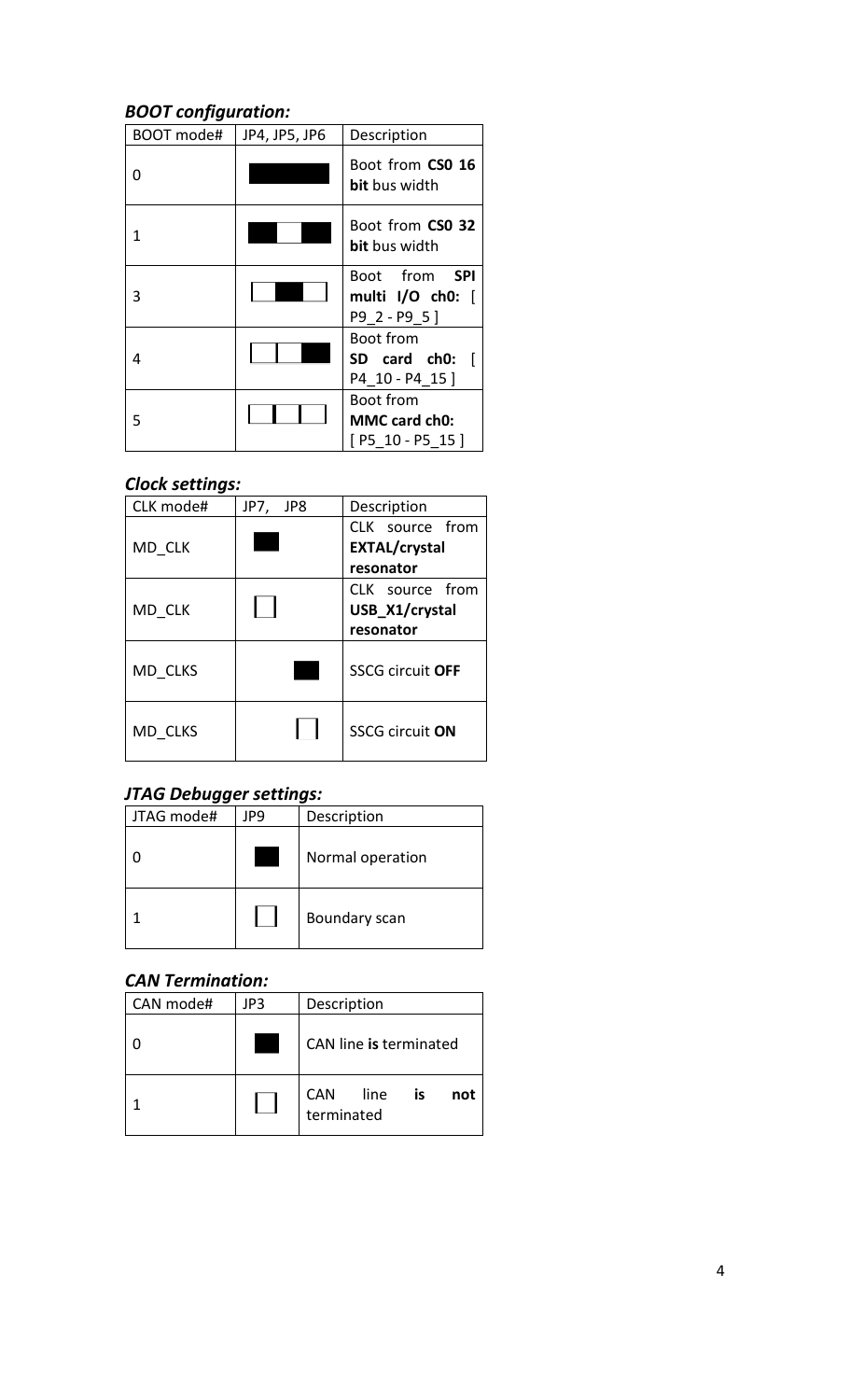# *BOOT configuration:*

| BOOT mode# | JP4, JP5, JP6 | Description                                             |
|------------|---------------|---------------------------------------------------------|
| O          |               | Boot from CSO 16<br><b>bit</b> bus width                |
| 1          |               | Boot from CSO 32<br><b>bit</b> bus width                |
| 3          |               | Boot from <b>SPI</b><br>multi I/O ch0: [<br>P9 2 - P9 5 |
| 4          |               | Boot from<br>SD card ch0:<br>P4_10 - P4_15]             |
| 5          |               | Boot from<br>MMC card ch0:<br>$[P5 10 - P5 15]$         |

# *Clock settings:*

| CLK mode# | JP7,<br>JP8 | Description             |
|-----------|-------------|-------------------------|
|           |             | CLK source from         |
| MD CLK    |             | <b>EXTAL/crystal</b>    |
|           |             | resonator               |
|           |             | CLK source from         |
| MD CLK    |             | USB X1/crystal          |
|           |             | resonator               |
| MD CLKS   |             | <b>SSCG circuit OFF</b> |
| MD CLKS   |             | <b>SSCG circuit ON</b>  |

# *JTAG Debugger settings:*

| JTAG mode# | JP9 | Description      |
|------------|-----|------------------|
|            |     | Normal operation |
|            |     | Boundary scan    |

## *CAN Termination:*

| CAN mode# | JP3 | Description                            |  |  |
|-----------|-----|----------------------------------------|--|--|
|           |     | CAN line is terminated                 |  |  |
|           |     | CAN<br>line<br>is<br>not<br>terminated |  |  |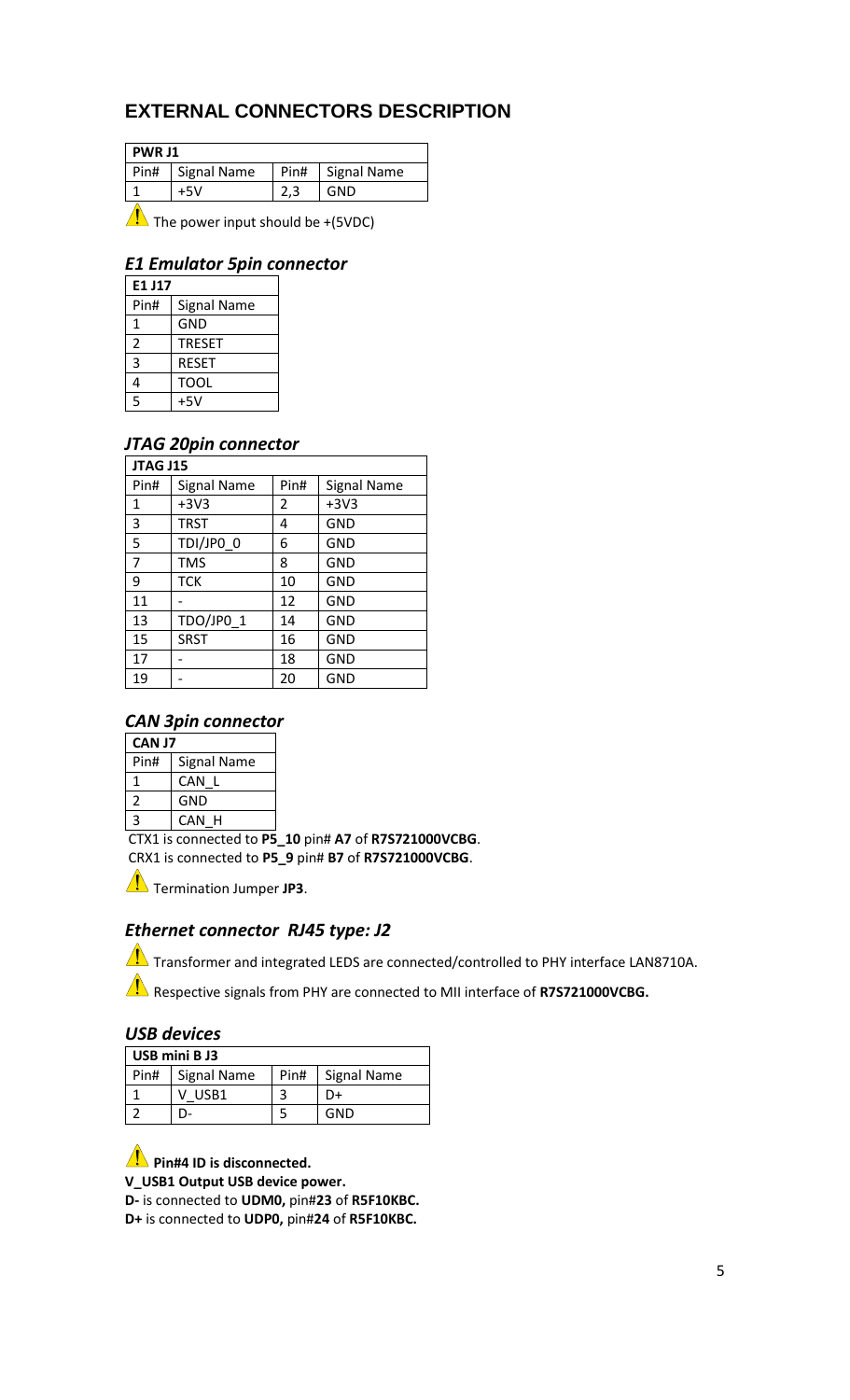# **EXTERNAL CONNECTORS DESCRIPTION**

| <b>PWR J1</b> |                    |      |             |  |
|---------------|--------------------|------|-------------|--|
| Pin#          | <b>Signal Name</b> | Pin# | Signal Name |  |
|               | +5V                |      | GND         |  |
|               |                    |      |             |  |

 $\sqrt{\frac{1}{2}}$  The power input should be +(5VDC)

#### *E1 Emulator 5pin connector*

| E1 J17 |                    |  |  |  |
|--------|--------------------|--|--|--|
| Pin#   | <b>Signal Name</b> |  |  |  |
| 1      | <b>GND</b>         |  |  |  |
| 2      | <b>TRESET</b>      |  |  |  |
| 3      | <b>RESET</b>       |  |  |  |
| 4      | <b>TOOL</b>        |  |  |  |
| 5      | $+5V$              |  |  |  |

#### *JTAG 20pin connector*

| JTAG J15       |                    |      |                    |  |  |  |
|----------------|--------------------|------|--------------------|--|--|--|
| Pin#           | <b>Signal Name</b> | Pin# | <b>Signal Name</b> |  |  |  |
| $\mathbf{1}$   | $+3V3$             | 2    | $+3V3$             |  |  |  |
| 3              | <b>TRST</b>        | 4    | <b>GND</b>         |  |  |  |
| 5              | TDI/JPO 0          | 6    | <b>GND</b>         |  |  |  |
| $\overline{7}$ | <b>TMS</b>         | 8    | <b>GND</b>         |  |  |  |
| 9              | TCK                | 10   | <b>GND</b>         |  |  |  |
| 11             |                    | 12   | <b>GND</b>         |  |  |  |
| 13             | TDO/JP0_1          | 14   | <b>GND</b>         |  |  |  |
| 15             | <b>SRST</b>        | 16   | <b>GND</b>         |  |  |  |
| 17             |                    | 18   | <b>GND</b>         |  |  |  |
| 19             |                    | 20   | <b>GND</b>         |  |  |  |

#### *CAN 3pin connector*

| <b>CANJ7</b> |                    |  |
|--------------|--------------------|--|
| Pin#         | <b>Signal Name</b> |  |
| 1            | CAN L              |  |
| 2            | GND                |  |
| 3            | CAN H              |  |
|              |                    |  |

CTX1 is connected to **P5\_10** pin# **A7** of **R7S721000VCBG**. CRX1 is connected to **P5\_9** pin# **B7** of **R7S721000VCBG**.

Termination Jumper JP3.

## *Ethernet connector RJ45 type: J2*

 $\sqrt{\phantom{a}}\phantom{a}$  Transformer and integrated LEDS are connected/controlled to PHY interface LAN8710A.

**Respective signals from PHY are connected to MII interface of R7S721000VCBG.** 

#### *USB devices*

| USB mini B J3 |                    |      |             |  |  |
|---------------|--------------------|------|-------------|--|--|
| Pin#          | <b>Signal Name</b> | Pin# | Signal Name |  |  |
|               | USB1               |      |             |  |  |
|               |                    |      | GND         |  |  |

#### **Pin#4 ID is disconnected.**

**V\_USB1 Output USB device power.**

**D-** is connected to **UDM0,** pin#**23** of **R5F10KBC.**

**D+** is connected to **UDP0,** pin#**24** of **R5F10KBC.**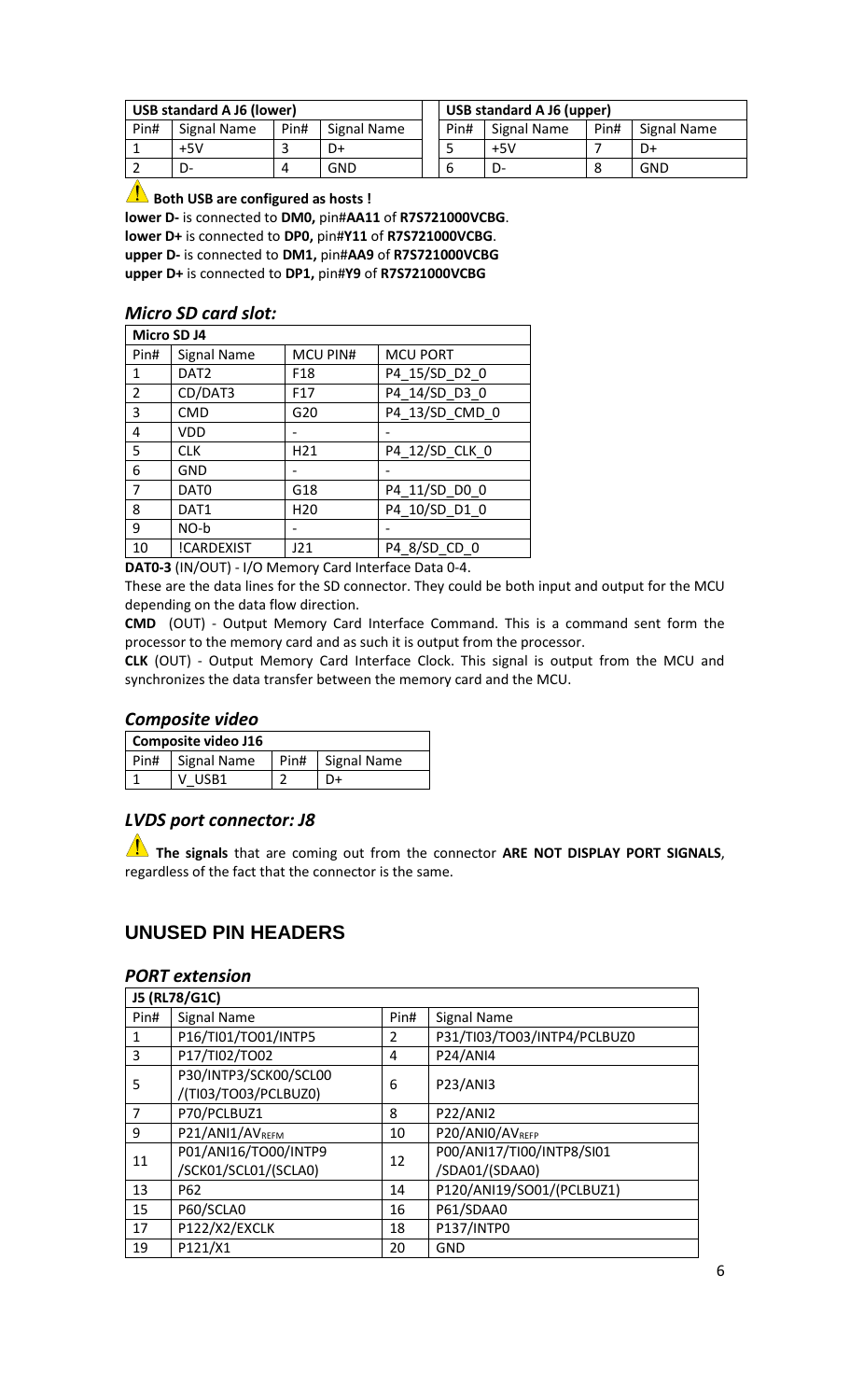| <b>USB standard A J6 (lower)</b> |             |      | <b>USB standard A J6 (upper)</b> |  |      |             |      |             |
|----------------------------------|-------------|------|----------------------------------|--|------|-------------|------|-------------|
| Pin#                             | Signal Name | Pin# | Signal Name                      |  | Pin# | Signal Name | Pin# | Signal Name |
|                                  | $+5V$       |      | D+                               |  |      | $+5V$       |      | D+          |
|                                  | D-          |      | GND                              |  | b    | D-          |      | GND         |

**AB** Both USB are configured as hosts!

**lower D-** is connected to **DM0,** pin#**AA11** of **R7S721000VCBG**. **lower D+** is connected to **DP0,** pin#**Y11** of **R7S721000VCBG**. **upper D-** is connected to **DM1,** pin#**AA9** of **R7S721000VCBG upper D+** is connected to **DP1,** pin#**Y9** of **R7S721000VCBG**

#### *Micro SD card slot:*

| Micro SD J4    |                  |                 |                 |  |  |  |  |
|----------------|------------------|-----------------|-----------------|--|--|--|--|
| Pin#           | Signal Name      | MCU PIN#        | <b>MCU PORT</b> |  |  |  |  |
| 1              | DAT <sub>2</sub> | F <sub>18</sub> | P4_15/SD_D2_0   |  |  |  |  |
| $\overline{2}$ | CD/DAT3          | F <sub>17</sub> | P4_14/SD_D3_0   |  |  |  |  |
| 3              | <b>CMD</b>       | G20             | P4_13/SD_CMD_0  |  |  |  |  |
| 4              | <b>VDD</b>       |                 |                 |  |  |  |  |
| 5              | <b>CLK</b>       | H <sub>21</sub> | P4_12/SD_CLK_0  |  |  |  |  |
| 6              | <b>GND</b>       |                 |                 |  |  |  |  |
| $\overline{7}$ | DAT <sub>0</sub> | G18             | P4_11/SD_D0_0   |  |  |  |  |
| 8              | DAT1             | H <sub>20</sub> | P4_10/SD_D1_0   |  |  |  |  |
| 9              | NO-b             |                 |                 |  |  |  |  |
| 10             | !CARDEXIST       | J21             | P4 8/SD CD 0    |  |  |  |  |

**DAT0-3** (IN/OUT) - I/O Memory Card Interface Data 0-4.

These are the data lines for the SD connector. They could be both input and output for the MCU depending on the data flow direction.

**CMD** (OUT) - Output Memory Card Interface Command. This is a command sent form the processor to the memory card and as such it is output from the processor.

**CLK** (OUT) - Output Memory Card Interface Clock. This signal is output from the MCU and synchronizes the data transfer between the memory card and the MCU.

#### *Composite video*

| Composite video J16 |                    |  |                    |  |
|---------------------|--------------------|--|--------------------|--|
|                     | Pin#   Signal Name |  | Pin#   Signal Name |  |
|                     | V USB1             |  |                    |  |

#### *LVDS port connector: J8*

**The signals** that are coming out from the connector **ARE NOT DISPLAY PORT SIGNALS**, regardless of the fact that the connector is the same.

#### **UNUSED PIN HEADERS**

#### *PORT extension*

| J5 (RL78/G1C)  |                                               |      |                             |  |
|----------------|-----------------------------------------------|------|-----------------------------|--|
| Pin#           | <b>Signal Name</b>                            | Pin# | <b>Signal Name</b>          |  |
| 1              | P16/TI01/TO01/INTP5                           | 2    | P31/TI03/TO03/INTP4/PCLBUZ0 |  |
| 3              | P17/TI02/TO02                                 | 4    | <b>P24/ANI4</b>             |  |
| 5              | P30/INTP3/SCK00/SCL00<br>/(TI03/TO03/PCLBUZ0) | 6    | <b>P23/ANI3</b>             |  |
| $\overline{7}$ | P70/PCLBUZ1                                   | 8    | <b>P22/ANI2</b>             |  |
| 9              | P21/ANI1/AVREFM                               | 10   | P20/ANIO/AVREFP             |  |
| 11             | P01/ANI16/TO00/INTP9                          | 12   | P00/ANI17/TI00/INTP8/SI01   |  |
|                | /SCK01/SCL01/(SCLA0)                          |      | /SDA01/(SDAA0)              |  |
| 13             | P <sub>62</sub>                               | 14   | P120/ANI19/SO01/(PCLBUZ1)   |  |
| 15             | P60/SCLA0                                     | 16   | P61/SDAA0                   |  |
| 17             | P122/X2/EXCLK                                 | 18   | P137/INTP0                  |  |
| 19             | P121/X1                                       | 20   | GND                         |  |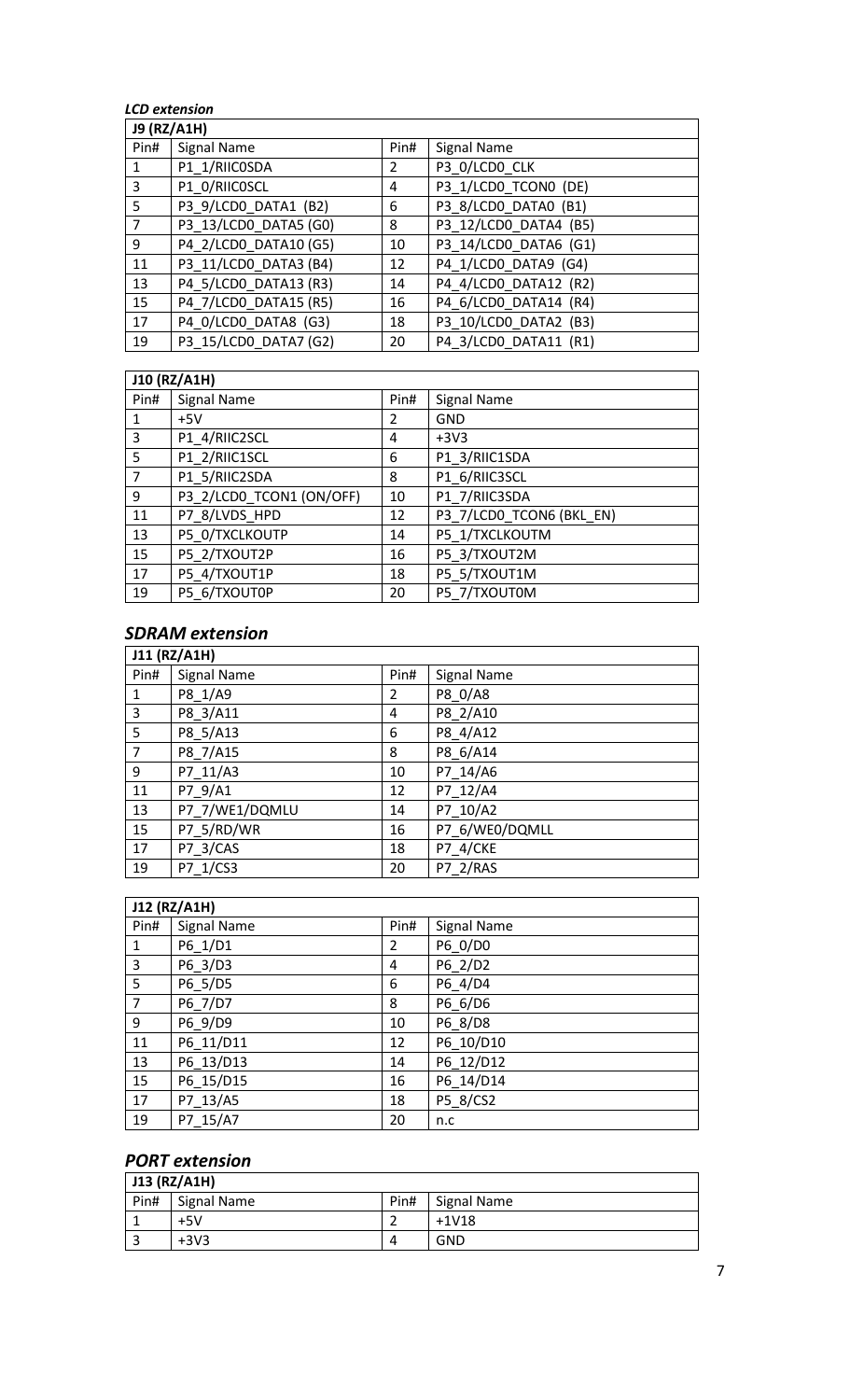#### *LCD extension*

| <b>J9 (RZ/A1H)</b> |                       |                |                       |  |
|--------------------|-----------------------|----------------|-----------------------|--|
| Pin#               | Signal Name           | Pin#           | Signal Name           |  |
| $\mathbf{1}$       | P1_1/RIICOSDA         | $\overline{2}$ | P3_0/LCD0_CLK         |  |
| 3                  | P1_0/RIICOSCL         | 4              | P3_1/LCD0_TCON0 (DE)  |  |
| 5                  | P3_9/LCD0_DATA1 (B2)  | 6              | P3_8/LCD0_DATA0 (B1)  |  |
| $\overline{7}$     | P3_13/LCD0_DATA5 (G0) | 8              | P3_12/LCD0_DATA4 (B5) |  |
| 9                  | P4_2/LCD0_DATA10 (G5) | 10             | P3_14/LCD0_DATA6 (G1) |  |
| 11                 | P3_11/LCD0_DATA3 (B4) | 12             | P4_1/LCD0_DATA9 (G4)  |  |
| 13                 | P4_5/LCD0_DATA13 (R3) | 14             | P4_4/LCD0_DATA12 (R2) |  |
| 15                 | P4_7/LCD0_DATA15 (R5) | 16             | P4_6/LCD0_DATA14 (R4) |  |
| 17                 | P4_0/LCD0_DATA8 (G3)  | 18             | P3_10/LCD0_DATA2 (B3) |  |
| 19                 | P3_15/LCD0_DATA7 (G2) | 20             | P4_3/LCD0_DATA11 (R1) |  |

# **J10 (RZ/A1H)**

| J10 (RZ/A1H) |                          |      |                          |  |
|--------------|--------------------------|------|--------------------------|--|
| Pin#         | Signal Name              | Pin# | <b>Signal Name</b>       |  |
| 1            | $+5V$                    | 2    | <b>GND</b>               |  |
| 3            | P1 4/RIIC2SCL            | 4    | $+3V3$                   |  |
| -5           | P1 2/RIIC1SCL            | 6    | P1 3/RIIC1SDA            |  |
| 7            | P1 5/RIIC2SDA            | 8    | P1 6/RIIC3SCL            |  |
| 9            | P3 2/LCD0 TCON1 (ON/OFF) | 10   | P1 7/RIIC3SDA            |  |
| 11           | P7_8/LVDS_HPD            | 12   | P3_7/LCD0_TCON6 (BKL_EN) |  |
| 13           | P5_0/TXCLKOUTP           | 14   | P5_1/TXCLKOUTM           |  |
| 15           | P5 2/TXOUT2P             | 16   | P5 3/TXOUT2M             |  |
| 17           | P5 4/TXOUT1P             | 18   | P5 5/TXOUT1M             |  |
| 19           | P5 6/TXOUT0P             | 20   | P5 7/TXOUT0M             |  |

# *SDRAM extension*

| J11 (RZ/A1H)   |                    |      |                    |  |
|----------------|--------------------|------|--------------------|--|
| Pin#           | <b>Signal Name</b> | Pin# | <b>Signal Name</b> |  |
| 1              | P8 1/A9            | 2    | P8_0/A8            |  |
| 3              | P8_3/A11           | 4    | P8_2/A10           |  |
| 5              | P8 5/A13           | 6    | P8 4/A12           |  |
| $\overline{7}$ | P8_7/A15           | 8    | P8 6/A14           |  |
| 9              | P7_11/A3           | 10   | P7 14/A6           |  |
| 11             | P7 9/A1            | 12   | P7 12/A4           |  |
| 13             | P7 7/WE1/DQMLU     | 14   | P7 10/A2           |  |
| 15             | P7 5/RD/WR         | 16   | P7 6/WE0/DQMLL     |  |
| 17             | P7 3/CAS           | 18   | <b>P7 4/CKE</b>    |  |
| 19             | P7 1/CS3           | 20   | P7 2/RAS           |  |

| J12 (RZ/A1H)   |                    |      |                    |  |
|----------------|--------------------|------|--------------------|--|
| Pin#           | <b>Signal Name</b> | Pin# | <b>Signal Name</b> |  |
| $\mathbf{1}$   | P6_1/D1            | 2    | P6_0/D0            |  |
| $\overline{3}$ | P6 3/D3            | 4    | P6_2/D2            |  |
| 5              | P6_5/D5            | 6    | P6_4/D4            |  |
| $\overline{7}$ | P6_7/D7            | 8    | P6 6/D6            |  |
| 9              | P6_9/D9            | 10   | P6 8/D8            |  |
| 11             | P6 11/D11          | 12   | P6 10/D10          |  |
| 13             | P6_13/D13          | 14   | P6 12/D12          |  |
| 15             | P6 15/D15          | 16   | P6 14/D14          |  |
| 17             | P7 13/A5           | 18   | P5_8/CS2           |  |
| 19             | P7 15/A7           | 20   | n.c                |  |

# *PORT extension*

| J13 (RZ/A1H) |             |      |                    |  |
|--------------|-------------|------|--------------------|--|
| $ $ Pin#     | Signal Name | Pin# | <b>Signal Name</b> |  |
|              | $+5V$       |      | $+1V18$            |  |
|              | $+3V3$      | Δ    | <b>GND</b>         |  |

 $\overline{\phantom{0}}$